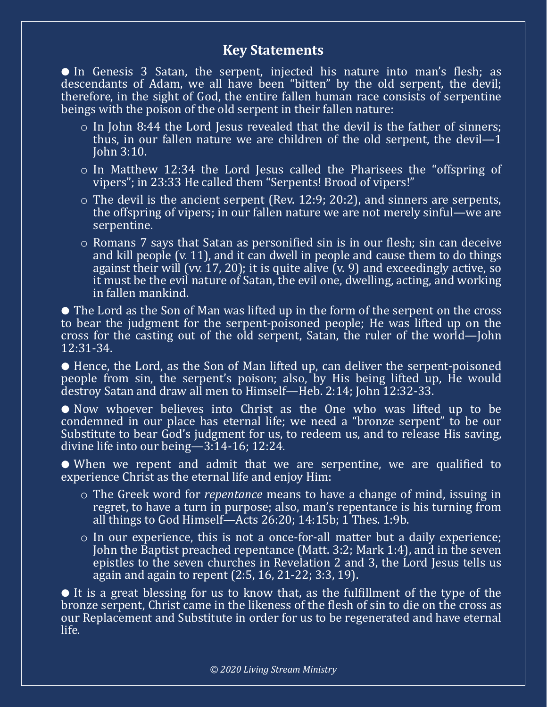## **Key Statements**

● In Genesis 3 Satan, the serpent, injected his nature into man's flesh; as descendants of Adam, we all have been "bitten" by the old serpent, the devil; therefore, in the sight of God, the entire fallen human race consists of serpentine beings with the poison of the old serpent in their fallen nature:

- o In John 8:44 the Lord Jesus revealed that the devil is the father of sinners; thus, in our fallen nature we are children of the old serpent, the devil—1 John 3:10.
- o In Matthew 12:34 the Lord Jesus called the Pharisees the "offspring of vipers"; in 23:33 He called them "Serpents! Brood of vipers!"
- $\circ$  The devil is the ancient serpent (Rev. 12:9; 20:2), and sinners are serpents, the offspring of vipers; in our fallen nature we are not merely sinful—we are serpentine.
- o Romans 7 says that Satan as personified sin is in our flesh; sin can deceive and kill people (v. 11), and it can dwell in people and cause them to do things against their will (vv. 17, 20); it is quite alive  $(v. 9)$  and exceedingly active, so it must be the evil nature of Satan, the evil one, dwelling, acting, and working in fallen mankind.

● The Lord as the Son of Man was lifted up in the form of the serpent on the cross to bear the judgment for the serpent-poisoned people; He was lifted up on the cross for the casting out of the old serpent, Satan, the ruler of the world—John 12:31-34.

● Hence, the Lord, as the Son of Man lifted up, can deliver the serpent-poisoned people from sin, the serpent's poison; also, by His being lifted up, He would destroy Satan and draw all men to Himself-Heb. 2:14; John 12:32-33.

● Now whoever believes into Christ as the One who was lifted up to be condemned in our place has eternal life; we need a "bronze serpent" to be our Substitute to bear God's judgment for us, to redeem us, and to release His saving, divine life into our being—3:14-16; 12:24.

● When we repent and admit that we are serpentine, we are qualified to experience Christ as the eternal life and enjoy Him:

- o The Greek word for *repentance* means to have a change of mind, issuing in regret, to have a turn in purpose; also, man's repentance is his turning from all things to God Himself—Acts 26:20; 14:15b; 1 Thes. 1:9b.
- o In our experience, this is not a once-for-all matter but a daily experience; John the Baptist preached repentance (Matt. 3:2; Mark 1:4), and in the seven epistles to the seven churches in Revelation 2 and 3, the Lord Jesus tells us again and again to repent (2:5, 16, 21-22; 3:3, 19).

● It is a great blessing for us to know that, as the fulfillment of the type of the bronze serpent, Christ came in the likeness of the flesh of sin to die on the cross as our Replacement and Substitute in order for us to be regenerated and have eternal life.

*© 2020 Living Stream Ministry*